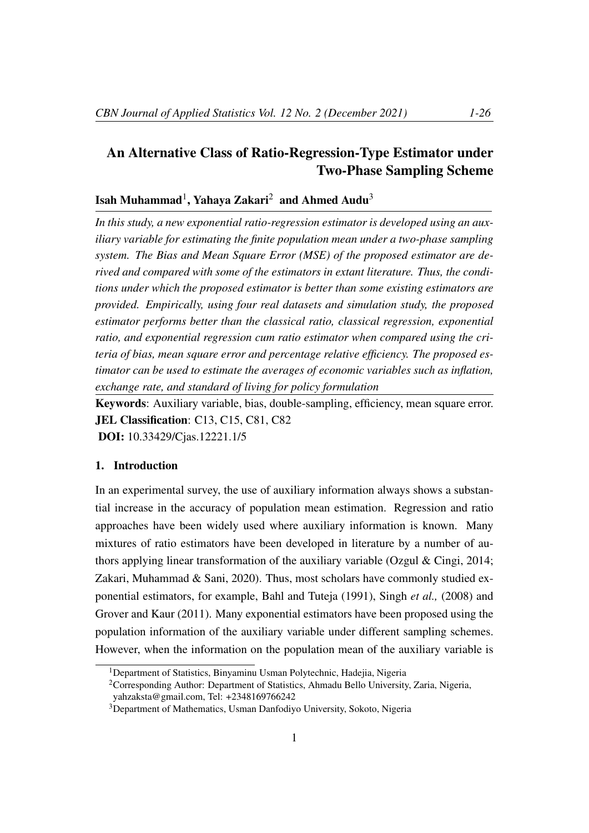# An Alternative Class of Ratio-Regression-Type Estimator under Two-Phase Sampling Scheme

# Isah Muhammad<sup>1</sup>, Yahaya Zakari<sup>2</sup> and Ahmed Audu<sup>3</sup>

*In this study, a new exponential ratio-regression estimator is developed using an auxiliary variable for estimating the finite population mean under a two-phase sampling system. The Bias and Mean Square Error (MSE) of the proposed estimator are derived and compared with some of the estimators in extant literature. Thus, the conditions under which the proposed estimator is better than some existing estimators are provided. Empirically, using four real datasets and simulation study, the proposed estimator performs better than the classical ratio, classical regression, exponential ratio, and exponential regression cum ratio estimator when compared using the criteria of bias, mean square error and percentage relative efficiency. The proposed estimator can be used to estimate the averages of economic variables such as inflation, exchange rate, and standard of living for policy formulation*

Keywords: Auxiliary variable, bias, double-sampling, efficiency, mean square error. JEL Classification: C13, C15, C81, C82 DOI: 10.33429/Cjas.12221.1/5

# 1. Introduction

In an experimental survey, the use of auxiliary information always shows a substantial increase in the accuracy of population mean estimation. Regression and ratio approaches have been widely used where auxiliary information is known. Many mixtures of ratio estimators have been developed in literature by a number of authors applying linear transformation of the auxiliary variable (Ozgul & Cingi, 2014; Zakari, Muhammad & Sani, 2020). Thus, most scholars have commonly studied exponential estimators, for example, Bahl and Tuteja (1991), Singh *et al.,* (2008) and Grover and Kaur (2011). Many exponential estimators have been proposed using the population information of the auxiliary variable under different sampling schemes. However, when the information on the population mean of the auxiliary variable is

<sup>&</sup>lt;sup>1</sup>Department of Statistics, Binyaminu Usman Polytechnic, Hadejia, Nigeria

<sup>2</sup>Corresponding Author: Department of Statistics, Ahmadu Bello University, Zaria, Nigeria,

yahzaksta@gmail.com, Tel: +2348169766242

<sup>3</sup>Department of Mathematics, Usman Danfodiyo University, Sokoto, Nigeria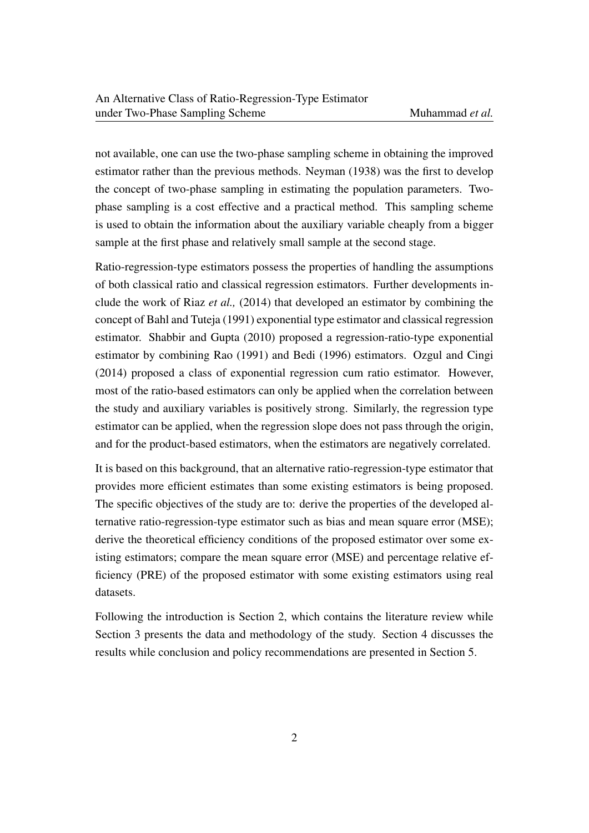not available, one can use the two-phase sampling scheme in obtaining the improved estimator rather than the previous methods. Neyman (1938) was the first to develop the concept of two-phase sampling in estimating the population parameters. Twophase sampling is a cost effective and a practical method. This sampling scheme is used to obtain the information about the auxiliary variable cheaply from a bigger sample at the first phase and relatively small sample at the second stage.

Ratio-regression-type estimators possess the properties of handling the assumptions of both classical ratio and classical regression estimators. Further developments include the work of Riaz *et al.,* (2014) that developed an estimator by combining the concept of Bahl and Tuteja (1991) exponential type estimator and classical regression estimator. Shabbir and Gupta (2010) proposed a regression-ratio-type exponential estimator by combining Rao (1991) and Bedi (1996) estimators. Ozgul and Cingi (2014) proposed a class of exponential regression cum ratio estimator. However, most of the ratio-based estimators can only be applied when the correlation between the study and auxiliary variables is positively strong. Similarly, the regression type estimator can be applied, when the regression slope does not pass through the origin, and for the product-based estimators, when the estimators are negatively correlated.

It is based on this background, that an alternative ratio-regression-type estimator that provides more efficient estimates than some existing estimators is being proposed. The specific objectives of the study are to: derive the properties of the developed alternative ratio-regression-type estimator such as bias and mean square error (MSE); derive the theoretical efficiency conditions of the proposed estimator over some existing estimators; compare the mean square error (MSE) and percentage relative efficiency (PRE) of the proposed estimator with some existing estimators using real datasets.

Following the introduction is Section 2, which contains the literature review while Section 3 presents the data and methodology of the study. Section 4 discusses the results while conclusion and policy recommendations are presented in Section 5.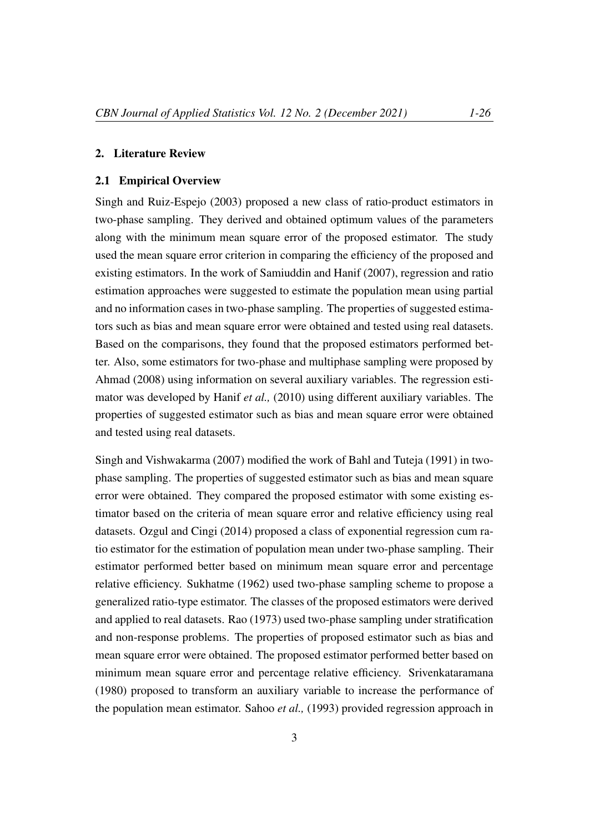#### 2. Literature Review

#### 2.1 Empirical Overview

Singh and Ruiz-Espejo (2003) proposed a new class of ratio-product estimators in two-phase sampling. They derived and obtained optimum values of the parameters along with the minimum mean square error of the proposed estimator. The study used the mean square error criterion in comparing the efficiency of the proposed and existing estimators. In the work of Samiuddin and Hanif (2007), regression and ratio estimation approaches were suggested to estimate the population mean using partial and no information cases in two-phase sampling. The properties of suggested estimators such as bias and mean square error were obtained and tested using real datasets. Based on the comparisons, they found that the proposed estimators performed better. Also, some estimators for two-phase and multiphase sampling were proposed by Ahmad (2008) using information on several auxiliary variables. The regression estimator was developed by Hanif *et al.,* (2010) using different auxiliary variables. The properties of suggested estimator such as bias and mean square error were obtained and tested using real datasets.

Singh and Vishwakarma (2007) modified the work of Bahl and Tuteja (1991) in twophase sampling. The properties of suggested estimator such as bias and mean square error were obtained. They compared the proposed estimator with some existing estimator based on the criteria of mean square error and relative efficiency using real datasets. Ozgul and Cingi (2014) proposed a class of exponential regression cum ratio estimator for the estimation of population mean under two-phase sampling. Their estimator performed better based on minimum mean square error and percentage relative efficiency. Sukhatme (1962) used two-phase sampling scheme to propose a generalized ratio-type estimator. The classes of the proposed estimators were derived and applied to real datasets. Rao (1973) used two-phase sampling under stratification and non-response problems. The properties of proposed estimator such as bias and mean square error were obtained. The proposed estimator performed better based on minimum mean square error and percentage relative efficiency. Srivenkataramana (1980) proposed to transform an auxiliary variable to increase the performance of the population mean estimator. Sahoo *et al.,* (1993) provided regression approach in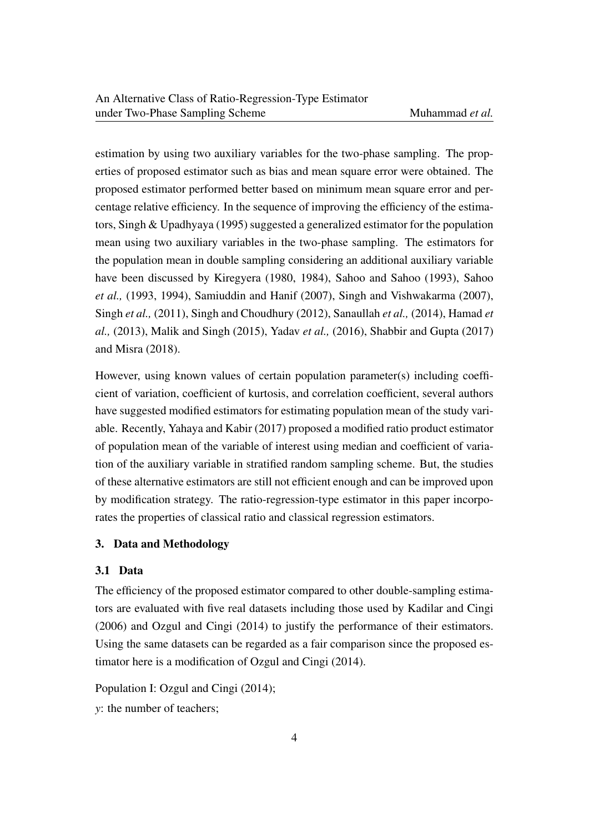estimation by using two auxiliary variables for the two-phase sampling. The properties of proposed estimator such as bias and mean square error were obtained. The proposed estimator performed better based on minimum mean square error and percentage relative efficiency. In the sequence of improving the efficiency of the estimators, Singh & Upadhyaya (1995) suggested a generalized estimator for the population mean using two auxiliary variables in the two-phase sampling. The estimators for the population mean in double sampling considering an additional auxiliary variable have been discussed by Kiregyera (1980, 1984), Sahoo and Sahoo (1993), Sahoo *et al.,* (1993, 1994), Samiuddin and Hanif (2007), Singh and Vishwakarma (2007), Singh *et al.,* (2011), Singh and Choudhury (2012), Sanaullah *et al.,* (2014), Hamad *et al.,* (2013), Malik and Singh (2015), Yadav *et al.,* (2016), Shabbir and Gupta (2017) and Misra (2018).

However, using known values of certain population parameter(s) including coefficient of variation, coefficient of kurtosis, and correlation coefficient, several authors have suggested modified estimators for estimating population mean of the study variable. Recently, Yahaya and Kabir (2017) proposed a modified ratio product estimator of population mean of the variable of interest using median and coefficient of variation of the auxiliary variable in stratified random sampling scheme. But, the studies of these alternative estimators are still not efficient enough and can be improved upon by modification strategy. The ratio-regression-type estimator in this paper incorporates the properties of classical ratio and classical regression estimators.

### 3. Data and Methodology

# 3.1 Data

The efficiency of the proposed estimator compared to other double-sampling estimators are evaluated with five real datasets including those used by Kadilar and Cingi (2006) and Ozgul and Cingi (2014) to justify the performance of their estimators. Using the same datasets can be regarded as a fair comparison since the proposed estimator here is a modification of Ozgul and Cingi (2014).

Population I: Ozgul and Cingi (2014);

*y*: the number of teachers;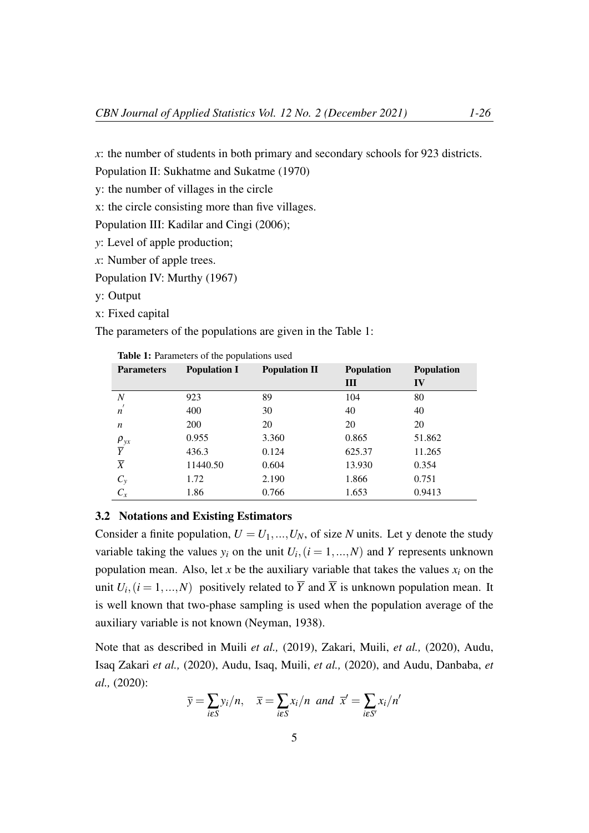*x*: the number of students in both primary and secondary schools for 923 districts.

Population II: Sukhatme and Sukatme (1970)

y: the number of villages in the circle

x: the circle consisting more than five villages.

Population III: Kadilar and Cingi (2006);

*y*: Level of apple production;

*x*: Number of apple trees.

Population IV: Murthy (1967)

y: Output

x: Fixed capital

The parameters of the populations are given in the Table 1:

| <b>Parameters</b>                | <b>Population I</b> | <b>Population II</b> | <b>Population</b> | <b>Population</b> |
|----------------------------------|---------------------|----------------------|-------------------|-------------------|
|                                  |                     |                      | Ш                 | IV                |
| $\boldsymbol{N}$                 | 923                 | 89                   | 104               | 80                |
| $\overline{n}$                   | 400                 | 30                   | 40                | 40                |
| n                                | 200                 | 20                   | 20                | 20                |
|                                  | 0.955               | 3.360                | 0.865             | 51.862            |
| $\frac{\rho_{yx}}{\overline{Y}}$ | 436.3               | 0.124                | 625.37            | 11.265            |
| $\overline{X}$                   | 11440.50            | 0.604                | 13.930            | 0.354             |
| $C_y$                            | 1.72                | 2.190                | 1.866             | 0.751             |
| $C_x$                            | 1.86                | 0.766                | 1.653             | 0.9413            |

Table 1: Parameters of the populations used

### 3.2 Notations and Existing Estimators

Consider a finite population,  $U = U_1, ..., U_N$ , of size *N* units. Let y denote the study variable taking the values  $y_i$  on the unit  $U_i$ ,  $(i = 1, ..., N)$  and *Y* represents unknown population mean. Also, let  $x$  be the auxiliary variable that takes the values  $x_i$  on the unit  $U_i$ ,  $(i = 1, ..., N)$  positively related to  $\overline{Y}$  and  $\overline{X}$  is unknown population mean. It is well known that two-phase sampling is used when the population average of the auxiliary variable is not known (Neyman, 1938).

Note that as described in Muili *et al.,* (2019), Zakari, Muili, *et al.,* (2020), Audu, Isaq Zakari *et al.,* (2020), Audu, Isaq, Muili, *et al.,* (2020), and Audu, Danbaba, *et al.,* (2020):

$$
\overline{y} = \sum_{i \in S} y_i/n
$$
,  $\overline{x} = \sum_{i \in S} x_i/n$  and  $\overline{x}' = \sum_{i \in S'} x_i/n'$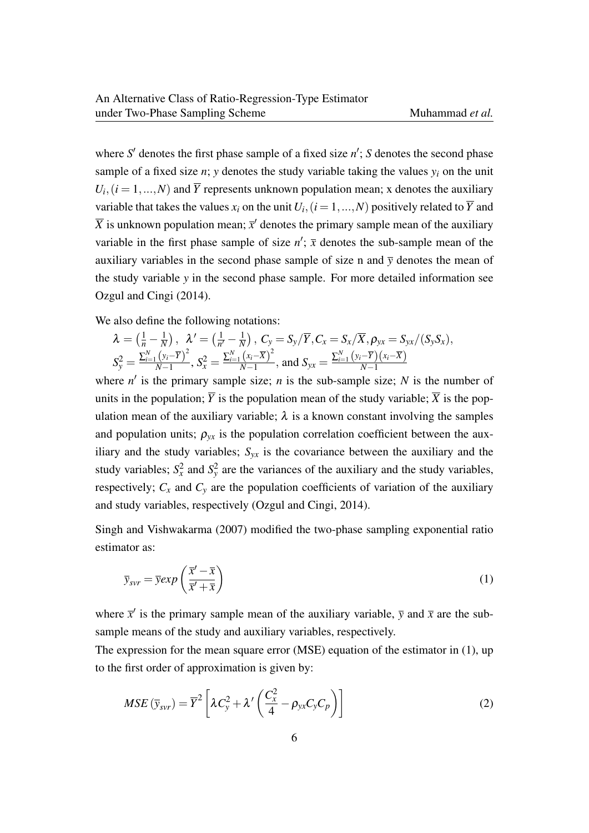where  $S'$  denotes the first phase sample of a fixed size  $n'$ ;  $S$  denotes the second phase sample of a fixed size *n*; *y* denotes the study variable taking the values  $y_i$  on the unit  $U_i$ ,  $(i = 1, ..., N)$  and  $\overline{Y}$  represents unknown population mean; x denotes the auxiliary variable that takes the values  $x_i$  on the unit  $U_i$ ,  $(i = 1, ..., N)$  positively related to  $\overline{Y}$  and  $\overline{X}$  is unknown population mean;  $\overline{x}'$  denotes the primary sample mean of the auxiliary variable in the first phase sample of size  $n'$ ;  $\bar{x}$  denotes the sub-sample mean of the auxiliary variables in the second phase sample of size n and  $\bar{y}$  denotes the mean of the study variable *y* in the second phase sample. For more detailed information see Ozgul and Cingi (2014).

We also define the following notations:

$$
\lambda = \left(\frac{1}{n} - \frac{1}{N}\right), \quad \lambda' = \left(\frac{1}{n'} - \frac{1}{N}\right), \quad C_{y} = S_{y}/\overline{Y}, C_{x} = S_{x}/\overline{X}, \rho_{yx} = S_{yx}/(S_{y}S_{x}),
$$
\n
$$
S_{y}^{2} = \frac{\sum_{i=1}^{N} (y_{i} - \overline{Y})^{2}}{N-1}, \quad S_{x}^{2} = \frac{\sum_{i=1}^{N} (x_{i} - \overline{X})^{2}}{N-1}, \text{ and } S_{yx} = \frac{\sum_{i=1}^{N} (y_{i} - \overline{Y})(x_{i} - \overline{X})}{N-1}
$$

where  $n'$  is the primary sample size; *n* is the sub-sample size; *N* is the number of units in the population;  $\overline{Y}$  is the population mean of the study variable;  $\overline{X}$  is the population mean of the auxiliary variable;  $\lambda$  is a known constant involving the samples and population units;  $\rho_{vx}$  is the population correlation coefficient between the auxiliary and the study variables;  $S_{yx}$  is the covariance between the auxiliary and the study variables;  $S_x^2$  and  $S_y^2$  are the variances of the auxiliary and the study variables, respectively;  $C_x$  and  $C_y$  are the population coefficients of variation of the auxiliary and study variables, respectively (Ozgul and Cingi, 2014).

Singh and Vishwakarma (2007) modified the two-phase sampling exponential ratio estimator as:

$$
\overline{y}_{svr} = \overline{y} exp\left(\frac{\overline{x}' - \overline{x}}{\overline{x}' + \overline{x}}\right)
$$
 (1)

where  $\bar{x}^{\prime}$  is the primary sample mean of the auxiliary variable,  $\bar{y}$  and  $\bar{x}$  are the subsample means of the study and auxiliary variables, respectively.

The expression for the mean square error (MSE) equation of the estimator in (1), up to the first order of approximation is given by:

$$
MSE\left(\bar{y}_{svr}\right) = \overline{Y}^2 \left[ \lambda C_y^2 + \lambda' \left( \frac{C_x^2}{4} - \rho_{yx} C_y C_p \right) \right]
$$
 (2)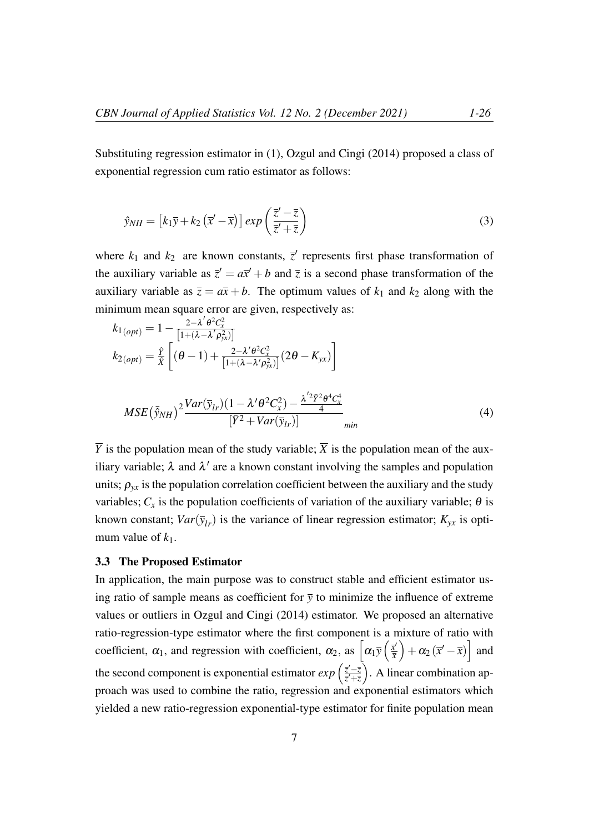Substituting regression estimator in (1), Ozgul and Cingi (2014) proposed a class of exponential regression cum ratio estimator as follows:

$$
\hat{y}_{NH} = \left[k_1\overline{y} + k_2\left(\overline{x}' - \overline{x}\right)\right]exp\left(\frac{\overline{z}' - \overline{z}}{\overline{z}' + \overline{z}}\right)
$$
\n(3)

where  $k_1$  and  $k_2$  are known constants,  $\bar{z}$  represents first phase transformation of the auxiliary variable as  $\overline{z}' = a\overline{x}' + b$  and  $\overline{z}$  is a second phase transformation of the auxiliary variable as  $\overline{z} = a\overline{x} + b$ . The optimum values of  $k_1$  and  $k_2$  along with the minimum mean square error are given, respectively as:

$$
k_{1(opt)} = 1 - \frac{2 - \lambda' \theta^2 C_x^2}{[1 + (\lambda - \lambda' \rho_{yx}^2)]}
$$
  
\n
$$
k_{2(opt)} = \frac{\hat{y}}{\hat{x}} \left[ (\theta - 1) + \frac{2 - \lambda' \theta^2 C_x^2}{[1 + (\lambda - \lambda' \rho_{yx}^2)]} (2\theta - K_{yx}) \right]
$$
  
\n
$$
MSE(\bar{\hat{y}}_{NH})^2 \frac{Var(\bar{y}_{lr})(1 - \lambda' \theta^2 C_x^2) - \frac{\lambda'^2 \bar{y}^2 \theta^4 C_x^4}{4}}{[\bar{Y}^2 + Var(\bar{y}_{lr})]}
$$
min (4)

 $\overline{Y}$  is the population mean of the study variable;  $\overline{X}$  is the population mean of the auxiliary variable;  $\lambda$  and  $\lambda'$  are a known constant involving the samples and population units;  $\rho_{yx}$  is the population correlation coefficient between the auxiliary and the study variables;  $C_x$  is the population coefficients of variation of the auxiliary variable;  $\theta$  is known constant;  $Var(\bar{y}_l)$  is the variance of linear regression estimator;  $K_{vx}$  is optimum value of  $k_1$ .

### 3.3 The Proposed Estimator

In application, the main purpose was to construct stable and efficient estimator using ratio of sample means as coefficient for  $\bar{y}$  to minimize the influence of extreme values or outliers in Ozgul and Cingi (2014) estimator. We proposed an alternative ratio-regression-type estimator where the first component is a mixture of ratio with coefficient,  $\alpha_1$ , and regression with coefficient,  $\alpha_2$ , as  $\left[\alpha_1\overline{y}\left(\frac{\overline{x}^2}{\overline{x}}\right)\right]$ *x*  $\left[ +\alpha_2 (\bar{x}' - \bar{x}) \right]$  and the second component is exponential estimator  $exp\left(\frac{\bar{z}^{\prime}-\bar{z}}{\bar{z}^{\prime}+\bar{z}}\right)$ *z* <sup>0</sup>+*z* . A linear combination approach was used to combine the ratio, regression and exponential estimators which yielded a new ratio-regression exponential-type estimator for finite population mean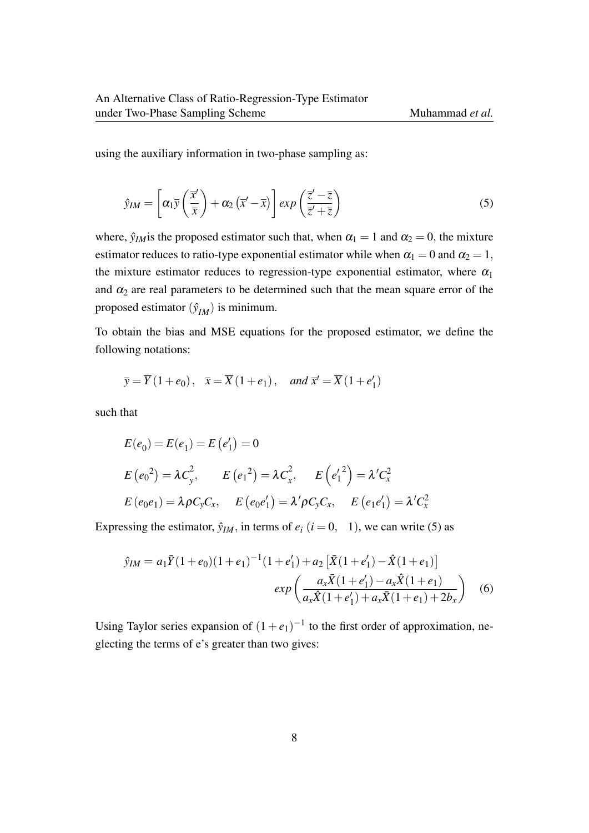using the auxiliary information in two-phase sampling as:

$$
\hat{y}_{IM} = \left[ \alpha_1 \bar{y} \left( \frac{\bar{x}'}{\bar{x}} \right) + \alpha_2 \left( \bar{x}' - \bar{x} \right) \right] exp \left( \frac{\bar{z}' - \bar{z}}{\bar{z}' + \bar{z}} \right) \tag{5}
$$

where,  $\hat{y}_{IM}$  is the proposed estimator such that, when  $\alpha_1 = 1$  and  $\alpha_2 = 0$ , the mixture estimator reduces to ratio-type exponential estimator while when  $\alpha_1 = 0$  and  $\alpha_2 = 1$ , the mixture estimator reduces to regression-type exponential estimator, where  $\alpha_1$ and  $\alpha_2$  are real parameters to be determined such that the mean square error of the proposed estimator  $(\hat{y}_{IM})$  is minimum.

To obtain the bias and MSE equations for the proposed estimator, we define the following notations:

$$
\overline{y} = \overline{Y}(1+e_0), \overline{x} = \overline{X}(1+e_1), \text{ and } \overline{x}' = \overline{X}(1+e'_1)
$$

such that

$$
E(e_0) = E(e_1) = E(e'_1) = 0
$$
  
\n
$$
E(e_0^2) = \lambda C_y^2, \qquad E(e_1^2) = \lambda C_x^2, \qquad E(e'_1^2) = \lambda' C_x^2
$$
  
\n
$$
E(e_0e_1) = \lambda \rho C_y C_x, \qquad E(e_0e'_1) = \lambda' \rho C_y C_x, \qquad E(e_1e'_1) = \lambda' C_x^2
$$

Expressing the estimator,  $\hat{y}_{IM}$ , in terms of  $e_i$  ( $i = 0, 1$ ), we can write (5) as

$$
\hat{y}_{IM} = a_1 \bar{Y}(1+e_0)(1+e_1)^{-1}(1+e'_1) + a_2 \left[ \bar{X}(1+e'_1) - \hat{X}(1+e_1) \right]
$$

$$
exp\left(\frac{a_x \bar{X}(1+e'_1) - a_x \hat{X}(1+e_1)}{a_x \bar{X}(1+e'_1) + a_x \bar{X}(1+e_1) + 2b_x}\right) \quad (6)
$$

Using Taylor series expansion of  $(1 + e_1)^{-1}$  to the first order of approximation, neglecting the terms of e's greater than two gives: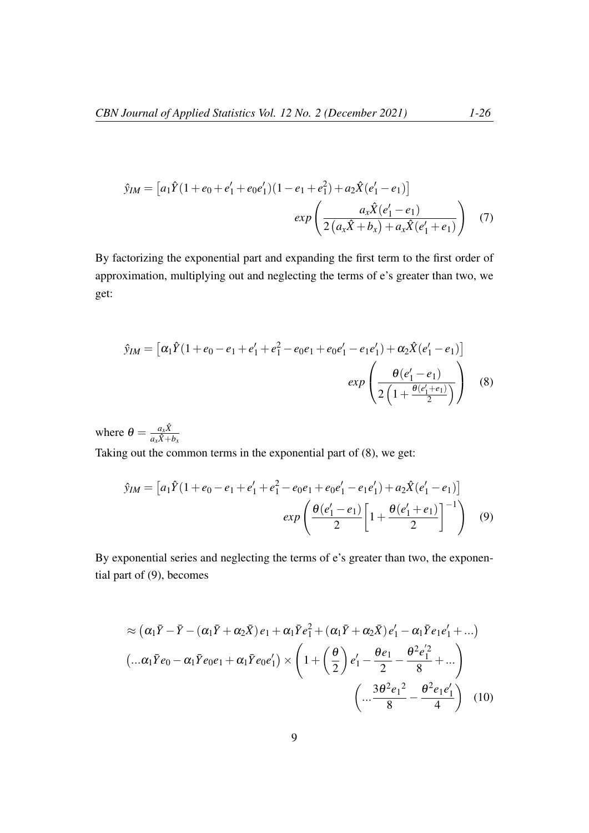$$
\hat{y}_{IM} = \left[a_1\hat{Y}(1+e_0+e'_1+e_0e'_1)(1-e_1+e_1^2)+a_2\hat{X}(e'_1-e_1)\right]
$$

$$
exp\left(\frac{a_x\hat{X}(e'_1-e_1)}{2\left(a_x\hat{X}+b_x\right)+a_x\hat{X}(e'_1+e_1)}\right) \quad (7)
$$

By factorizing the exponential part and expanding the first term to the first order of approximation, multiplying out and neglecting the terms of e's greater than two, we get:

$$
\hat{y}_{IM} = \left[ \alpha_1 \hat{Y} (1 + e_0 - e_1 + e_1' + e_1^2 - e_0 e_1 + e_0 e_1' - e_1 e_1') + \alpha_2 \hat{X} (e_1' - e_1) \right]
$$

$$
exp\left(\frac{\theta (e_1' - e_1)}{2 \left(1 + \frac{\theta (e_1' + e_1)}{2}\right)}\right) \tag{8}
$$

where  $\theta = \frac{a_x \hat{X}}{a_x \hat{X} + \hat{X}}$  $a_x\hat{X}+b_x$ Taking out the common terms in the exponential part of (8), we get:

$$
\hat{y}_{IM} = \left[a_1\hat{Y}(1+e_0-e_1+e_1^{\prime}+e_1^2-e_0e_1+e_0e_1^{\prime}-e_1e_1^{\prime})+a_2\hat{X}(e_1^{\prime}-e_1)\right]
$$

$$
exp\left(\frac{\theta(e_1^{\prime}-e_1)}{2}\left[1+\frac{\theta(e_1^{\prime}+e_1)}{2}\right]^{-1}\right) \quad (9)
$$

By exponential series and neglecting the terms of e's greater than two, the exponential part of (9), becomes

$$
\approx (\alpha_1 \bar{Y} - \bar{Y} - (\alpha_1 \bar{Y} + \alpha_2 \bar{X}) e_1 + \alpha_1 \bar{Y} e_1^2 + (\alpha_1 \bar{Y} + \alpha_2 \bar{X}) e_1' - \alpha_1 \bar{Y} e_1 e_1' + ...)
$$
  

$$
(\dots \alpha_1 \bar{Y} e_0 - \alpha_1 \bar{Y} e_0 e_1 + \alpha_1 \bar{Y} e_0 e_1') \times \left(1 + \left(\frac{\theta}{2}\right) e_1' - \frac{\theta e_1}{2} - \frac{\theta^2 e_1^2}{8} + ... \right)
$$
  

$$
\left(\dots \frac{3\theta^2 e_1^2}{8} - \frac{\theta^2 e_1 e_1'}{4}\right) (10)
$$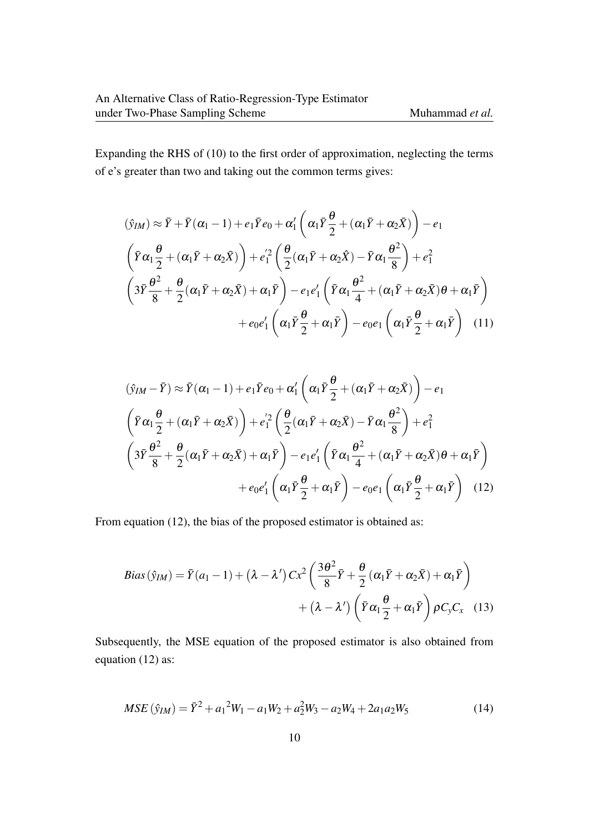Expanding the RHS of (10) to the first order of approximation, neglecting the terms of e's greater than two and taking out the common terms gives:

$$
(\hat{y}_{IM}) \approx \bar{Y} + \bar{Y}(\alpha_1 - 1) + e_1 \bar{Y} e_0 + \alpha'_1 \left( \alpha_1 \bar{Y} \frac{\theta}{2} + (\alpha_1 \bar{Y} + \alpha_2 \bar{X}) \right) - e_1
$$
  

$$
\left( \bar{Y} \alpha_1 \frac{\theta}{2} + (\alpha_1 \bar{Y} + \alpha_2 \bar{X}) \right) + e_1'^2 \left( \frac{\theta}{2} (\alpha_1 \bar{Y} + \alpha_2 \hat{X}) - \bar{Y} \alpha_1 \frac{\theta^2}{8} \right) + e_1^2
$$
  

$$
\left( 3\bar{Y} \frac{\theta^2}{8} + \frac{\theta}{2} (\alpha_1 \bar{Y} + \alpha_2 \bar{X}) + \alpha_1 \bar{Y} \right) - e_1 e_1' \left( \bar{Y} \alpha_1 \frac{\theta^2}{4} + (\alpha_1 \bar{Y} + \alpha_2 \bar{X}) \theta + \alpha_1 \bar{Y} \right)
$$
  

$$
+ e_0 e_1' \left( \alpha_1 \bar{Y} \frac{\theta}{2} + \alpha_1 \bar{Y} \right) - e_0 e_1 \left( \alpha_1 \bar{Y} \frac{\theta}{2} + \alpha_1 \bar{Y} \right) \quad (11)
$$

$$
(\hat{y}_{IM} - \bar{Y}) \approx \bar{Y}(\alpha_1 - 1) + e_1 \bar{Y}e_0 + \alpha'_1 \left(\alpha_1 \bar{Y} \frac{\theta}{2} + (\alpha_1 \bar{Y} + \alpha_2 \bar{X})\right) - e_1
$$
  

$$
\left(\bar{Y}\alpha_1 \frac{\theta}{2} + (\alpha_1 \bar{Y} + \alpha_2 \bar{X})\right) + e_1'^2 \left(\frac{\theta}{2}(\alpha_1 \bar{Y} + \alpha_2 \bar{X}) - \bar{Y}\alpha_1 \frac{\theta^2}{8}\right) + e_1^2
$$
  

$$
\left(3\bar{Y}\frac{\theta^2}{8} + \frac{\theta}{2}(\alpha_1 \bar{Y} + \alpha_2 \bar{X}) + \alpha_1 \bar{Y}\right) - e_1 e_1' \left(\bar{Y}\alpha_1 \frac{\theta^2}{4} + (\alpha_1 \bar{Y} + \alpha_2 \bar{X})\theta + \alpha_1 \bar{Y}\right)
$$
  

$$
+ e_0 e_1' \left(\alpha_1 \bar{Y} \frac{\theta}{2} + \alpha_1 \bar{Y}\right) - e_0 e_1 \left(\alpha_1 \bar{Y} \frac{\theta}{2} + \alpha_1 \bar{Y}\right) \quad (12)
$$

From equation (12), the bias of the proposed estimator is obtained as:

$$
Bias(\hat{y}_{IM}) = \bar{Y}(a_1 - 1) + (\lambda - \lambda') C x^2 \left( \frac{3\theta^2}{8} \bar{Y} + \frac{\theta}{2} (\alpha_1 \bar{Y} + \alpha_2 \bar{X}) + \alpha_1 \bar{Y} \right) + (\lambda - \lambda') \left( \bar{Y} \alpha_1 \frac{\theta}{2} + \alpha_1 \bar{Y} \right) \rho C_y C_x \quad (13)
$$

Subsequently, the MSE equation of the proposed estimator is also obtained from equation (12) as:

$$
MSE\left(\hat{y}_{IM}\right) = \bar{Y}^2 + a_1^2 W_1 - a_1 W_2 + a_2^2 W_3 - a_2 W_4 + 2a_1 a_2 W_5 \tag{14}
$$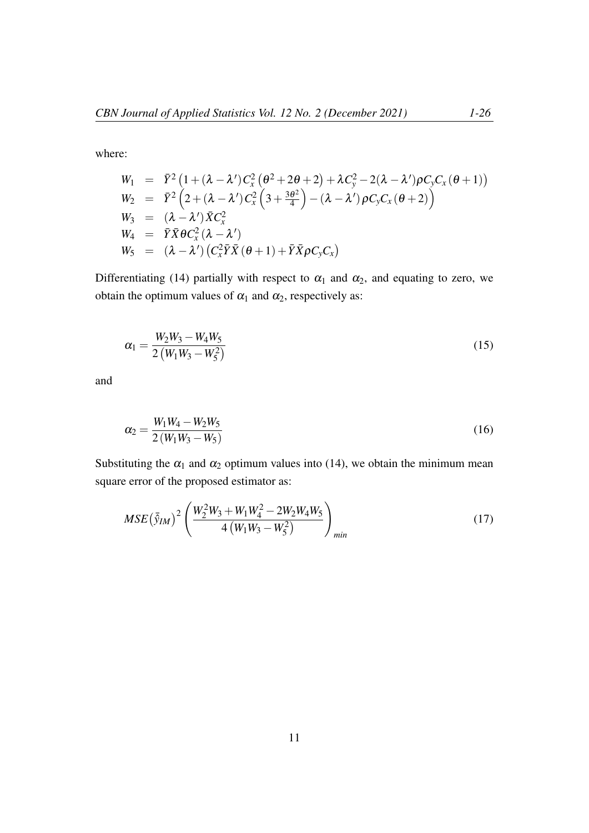where:

$$
W_1 = \bar{Y}^2 (1 + (\lambda - \lambda') C_x^2 (\theta^2 + 2\theta + 2) + \lambda C_y^2 - 2(\lambda - \lambda') \rho C_y C_x (\theta + 1))
$$
  
\n
$$
W_2 = \bar{Y}^2 (2 + (\lambda - \lambda') C_x^2 (3 + \frac{3\theta^2}{4}) - (\lambda - \lambda') \rho C_y C_x (\theta + 2))
$$
  
\n
$$
W_3 = (\lambda - \lambda') \bar{X} C_x^2
$$
  
\n
$$
W_4 = \bar{Y} \bar{X} \theta C_x^2 (\lambda - \lambda')
$$
  
\n
$$
W_5 = (\lambda - \lambda') (C_x^2 \bar{Y} \bar{X} (\theta + 1) + \bar{Y} \bar{X} \rho C_y C_x)
$$

Differentiating (14) partially with respect to  $\alpha_1$  and  $\alpha_2$ , and equating to zero, we obtain the optimum values of  $\alpha_1$  and  $\alpha_2$ , respectively as:

$$
\alpha_1 = \frac{W_2 W_3 - W_4 W_5}{2 \left( W_1 W_3 - W_5^2 \right)} \tag{15}
$$

and

$$
\alpha_2 = \frac{W_1 W_4 - W_2 W_5}{2 (W_1 W_3 - W_5)}
$$
\n(16)

Substituting the  $\alpha_1$  and  $\alpha_2$  optimum values into (14), we obtain the minimum mean square error of the proposed estimator as:

$$
MSE\left(\bar{\hat{y}}_{IM}\right)^{2}\left(\frac{W_{2}^{2}W_{3}+W_{1}W_{4}^{2}-2W_{2}W_{4}W_{5}}{4\left(W_{1}W_{3}-W_{5}^{2}\right)}\right)_{min} \tag{17}
$$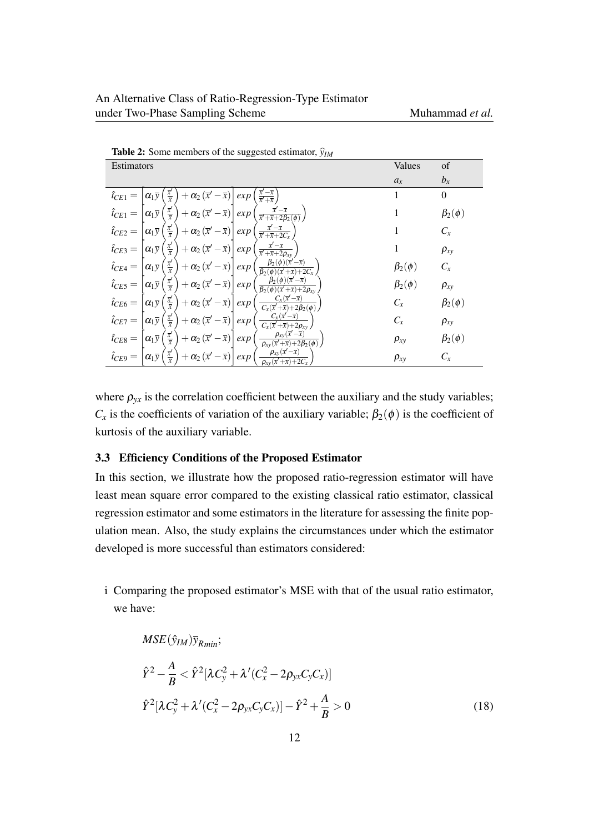| <b>Table 2:</b> Some members of the suggested estimator, $\hat{y}_{IM}$                                                                                                                                                                      |                 |                 |  |  |
|----------------------------------------------------------------------------------------------------------------------------------------------------------------------------------------------------------------------------------------------|-----------------|-----------------|--|--|
| Estimators                                                                                                                                                                                                                                   | Values          | of              |  |  |
|                                                                                                                                                                                                                                              | $a_x$           | $b_x$           |  |  |
| $\frac{\overline{x}' - \overline{x}}{\overline{x}' + \overline{x}}$<br>$rac{\overline{x}'}{\overline{x}}$<br>$+\alpha_2(\bar{x}'-\bar{x})$<br>$\hat{t}_{CE1} =$<br>$\alpha_1\overline{y}$<br>exp                                             |                 | $\theta$        |  |  |
| $\frac{\overline{x}'}{\overline{x}}$<br>$\frac{\overline{x}'-\overline{x}}{\overline{x}'+\overline{x}+2\beta_2(\phi)}$<br>$+ \alpha_2(\overline{x}' - \overline{x})$<br>$\hat{t}_{CE1} =$<br>$\alpha_1\bar{y}$<br>exp                        |                 | $\beta_2(\phi)$ |  |  |
| $\frac{\overline{x}'}{\overline{x}}$ ,<br>$\frac{\overline{x}'-\overline{x}}{\overline{x}'+\overline{x}+2C_v}$<br>$+\alpha_2(\overline{x}-\overline{x})$<br>$\hat{i}_{CE2} =$<br>$\alpha_1\overline{y}$<br>exp                               |                 | $C_x$           |  |  |
| $\frac{\overline{x}'}{\overline{x}}$<br>$+ \alpha_2(\overline{x}'-\overline{x})$<br>$\hat{i}_{CE3} =$<br>$\alpha_1\bar{y}$<br>exp<br>$\overline{x}$ + $\overline{x}$ +                                                                       |                 | $\rho_{xy}$     |  |  |
| $\beta_2(\phi)(\bar{x}')$<br>$\alpha_1\overline{y}\left(\frac{\overline{x}'}{\overline{x}}\right)+\alpha_2\left(\overline{x}'-\overline{x}\right)\right $<br>$\hat{i}_{CE4} =$<br>$\exp$<br>$\beta_2(\phi)(\overline{x}'+\overline{x})+2C_r$ | $\beta_2(\phi)$ | $C_x$           |  |  |
| $\beta_2(\phi)(\bar{x}'-\bar{x})$<br>$\alpha_1 \bar{y} \left( \frac{\bar{x}'}{\bar{x}} \right)$<br>$\hat{t}_{CE5} =$<br>$+ \alpha_2(\overline{x}' - \overline{x})$<br>exp<br>$\beta_2(\phi)(\overline{x}'+\overline{x})+2\rho_{xy}$          | $\beta_2(\phi)$ | $\rho_{xy}$     |  |  |
| $C_x(\overline{x}'-\overline{x})$<br>$\frac{\overline{x}'}{\overline{x}}$<br>$\hat{i}_{CE6} =$<br>$\big  + \alpha_2(\overline{x}' - \overline{x}) \big $<br>$\alpha_1\bar{y}$<br>exp<br>$C_x(\overline{x}'+\overline{x})+2\beta_2(\phi)$     | $C_x$           | $\beta_2(\phi)$ |  |  |
| $C_x(\overline{x}'-\overline{x})$<br>$\alpha_1 \bar{y} \left( \frac{\bar{x}'}{\bar{x}} \right)$<br>$+ \alpha_2(\overline{x}'-\overline{x})$<br>$\hat{t}_{CE7} =$<br>exp<br>$C_x(\overline{x}'+\overline{x})+2\rho_{xy}$                      | $C_x$           | $\rho_{xy}$     |  |  |
| $\rho_{xy}(\bar{x}'-\bar{x})$<br>$rac{\overline{x}'}{\overline{x}}$<br>$+ \alpha_2(\overline{x}' - \overline{x})$<br>$\hat t_{CE8} =$<br>$\alpha_1\overline{y}$<br>exp<br>$\rho_{xy}(\overline{x}'+\overline{x})+2\beta_2(\overline{\phi})$  | $\rho_{xy}$     | $\beta_2(\phi)$ |  |  |
| $\rho_{xy}(\bar{x}'-\bar{x})$<br>$rac{\overline{x}'}{\overline{x}}$<br>$+ \alpha_2(\overline{x}' - \overline{x})$<br>$\hat{i}_{CE9} =$<br>$\alpha_1 \overline{y}$<br>exp<br>$\rho_{xy}(\overline{x}+\overline{x})+2C_x$                      | $\rho_{xy}$     | $C_x$           |  |  |

where  $\rho_{yx}$  is the correlation coefficient between the auxiliary and the study variables;  $C_x$  is the coefficients of variation of the auxiliary variable;  $\beta_2(\phi)$  is the coefficient of kurtosis of the auxiliary variable.

### 3.3 Efficiency Conditions of the Proposed Estimator

In this section, we illustrate how the proposed ratio-regression estimator will have least mean square error compared to the existing classical ratio estimator, classical regression estimator and some estimators in the literature for assessing the finite population mean. Also, the study explains the circumstances under which the estimator developed is more successful than estimators considered:

i Comparing the proposed estimator's MSE with that of the usual ratio estimator, we have:

$$
MSE(\hat{y}_{IM})\bar{y}_{Rmin};
$$
  
\n
$$
\hat{Y}^{2} - \frac{A}{B} < \hat{Y}^{2}[\lambda C_{y}^{2} + \lambda'(C_{x}^{2} - 2\rho_{yx}C_{y}C_{x})]
$$
  
\n
$$
\hat{Y}^{2}[\lambda C_{y}^{2} + \lambda'(C_{x}^{2} - 2\rho_{yx}C_{y}C_{x})] - \hat{Y}^{2} + \frac{A}{B} > 0
$$
\n(18)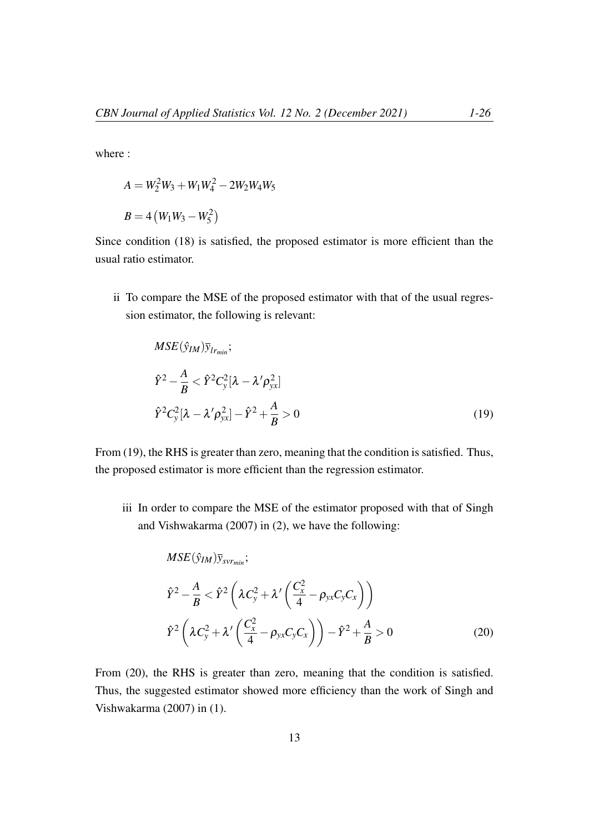where :

$$
A = W_2^2 W_3 + W_1 W_4^2 - 2W_2 W_4 W_5
$$
  

$$
B = 4 (W_1 W_3 - W_5^2)
$$

Since condition (18) is satisfied, the proposed estimator is more efficient than the usual ratio estimator.

ii To compare the MSE of the proposed estimator with that of the usual regression estimator, the following is relevant:

$$
MSE(\hat{y}_{IM})\bar{y}_{lr_{min}};
$$
  
\n
$$
\hat{Y}^{2} - \frac{A}{B} < \hat{Y}^{2}C_{y}^{2}[\lambda - \lambda' \rho_{yx}^{2}]
$$
  
\n
$$
\hat{Y}^{2}C_{y}^{2}[\lambda - \lambda' \rho_{yx}^{2}] - \hat{Y}^{2} + \frac{A}{B} > 0
$$
\n(19)

From (19), the RHS is greater than zero, meaning that the condition is satisfied. Thus, the proposed estimator is more efficient than the regression estimator.

iii In order to compare the MSE of the estimator proposed with that of Singh and Vishwakarma (2007) in (2), we have the following:

$$
MSE(\hat{y}_{IM})\bar{y}_{svr_{min}};
$$
  
\n
$$
\hat{Y}^{2} - \frac{A}{B} < \hat{Y}^{2} \left( \lambda C_{y}^{2} + \lambda' \left( \frac{C_{x}^{2}}{4} - \rho_{yx} C_{y} C_{x} \right) \right)
$$
  
\n
$$
\hat{Y}^{2} \left( \lambda C_{y}^{2} + \lambda' \left( \frac{C_{x}^{2}}{4} - \rho_{yx} C_{y} C_{x} \right) \right) - \hat{Y}^{2} + \frac{A}{B} > 0
$$
\n(20)

From (20), the RHS is greater than zero, meaning that the condition is satisfied. Thus, the suggested estimator showed more efficiency than the work of Singh and Vishwakarma (2007) in (1).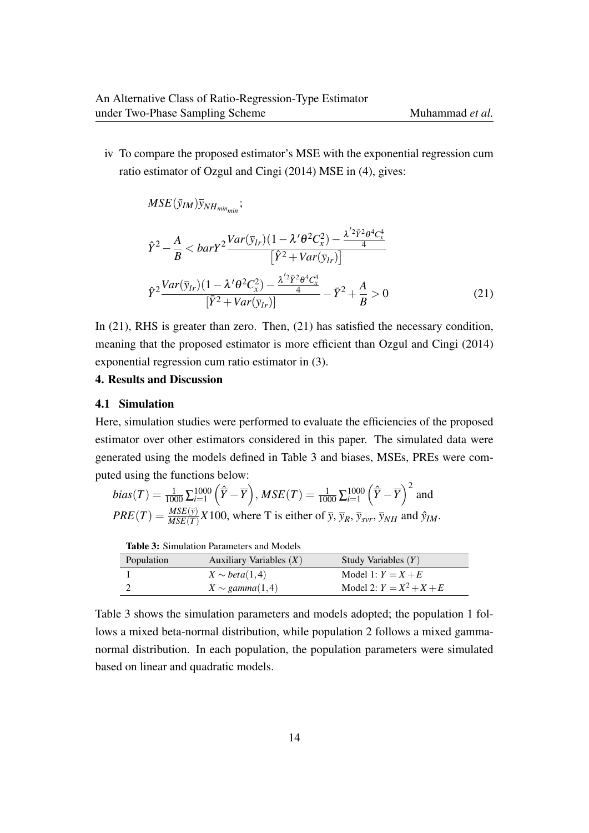iv To compare the proposed estimator's MSE with the exponential regression cum ratio estimator of Ozgul and Cingi (2014) MSE in (4), gives:

 $MSE(\bar{y}_{IM}) \bar{y}_{NH_{min,min}}$ ;

$$
\hat{Y}^{2} - \frac{A}{B} < barY^{2} \frac{Var(\bar{y}_{lr})(1 - \lambda'\theta^{2}C_{x}^{2}) - \frac{\lambda'^{2}\bar{Y}^{2}\theta^{4}C_{x}^{4}}{4}}{\left[\hat{Y}^{2} + Var(\bar{y}_{lr})\right]}
$$
\n
$$
\hat{Y}^{2} \frac{Var(\bar{y}_{lr})(1 - \lambda'\theta^{2}C_{x}^{2}) - \frac{\lambda'^{2}\bar{Y}^{2}\theta^{4}C_{x}^{4}}{4}}{\left[\bar{Y}^{2} + Var(\bar{y}_{lr})\right]} - \bar{Y}^{2} + \frac{A}{B} > 0
$$
\n
$$
(21)
$$

In (21), RHS is greater than zero. Then, (21) has satisfied the necessary condition, meaning that the proposed estimator is more efficient than Ozgul and Cingi (2014) exponential regression cum ratio estimator in (3).

# 4. Results and Discussion

### 4.1 Simulation

Here, simulation studies were performed to evaluate the efficiencies of the proposed estimator over other estimators considered in this paper. The simulated data were generated using the models defined in Table 3 and biases, MSEs, PREs were computed using the functions below:  $\overline{2}$ 

$$
bias(T) = \frac{1}{1000} \sum_{i=1}^{1000} \left(\hat{\overline{Y}} - \overline{Y}\right), MSE(T) = \frac{1}{1000} \sum_{i=1}^{1000} \left(\hat{\overline{Y}} - \overline{Y}\right)^2 \text{ and}
$$
  

$$
PRE(T) = \frac{MSE(\overline{y})}{MSE(T)} X 100, \text{ where } T \text{ is either of } \overline{y}, \overline{y}_R, \overline{y}_{svr}, \overline{y}_{NH} \text{ and } \hat{y}_{IM}.
$$

| <b>Table 3:</b> Simulation Parameters and Models |                           |                            |  |  |
|--------------------------------------------------|---------------------------|----------------------------|--|--|
| Population                                       | Auxiliary Variables $(X)$ | Study Variables $(Y)$      |  |  |
|                                                  | $X \sim beta(1,4)$        | Model 1: $Y = X + E$       |  |  |
|                                                  | $X \sim gamma(1,4)$       | Model 2: $Y = X^2 + X + E$ |  |  |

Table 3 shows the simulation parameters and models adopted; the population 1 follows a mixed beta-normal distribution, while population 2 follows a mixed gammanormal distribution. In each population, the population parameters were simulated based on linear and quadratic models.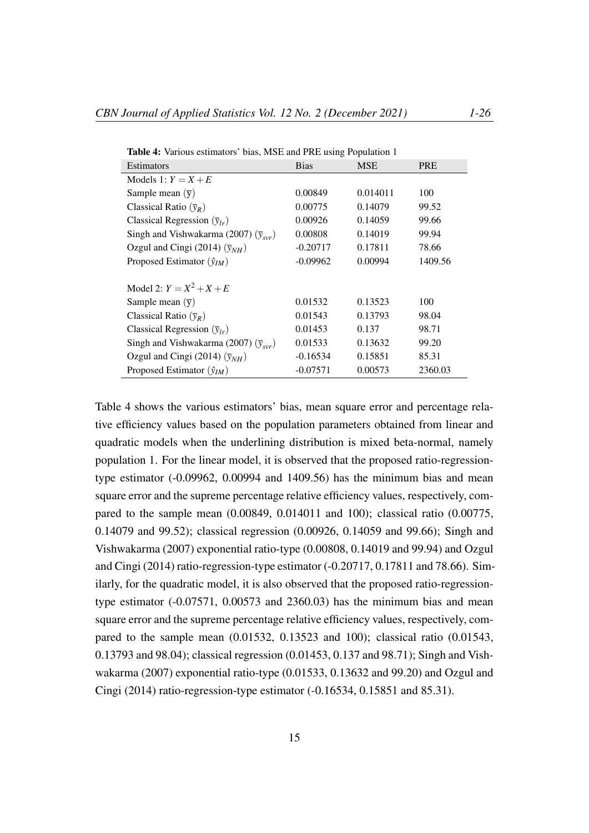| Table 4: Various estimators' bias, MSE and PRE using Population 1 |             |            |            |  |  |  |
|-------------------------------------------------------------------|-------------|------------|------------|--|--|--|
| <b>Estimators</b>                                                 | <b>Bias</b> | <b>MSE</b> | <b>PRE</b> |  |  |  |
| Models 1: $Y = X + E$                                             |             |            |            |  |  |  |
| Sample mean $(\bar{y})$                                           | 0.00849     | 0.014011   | 100        |  |  |  |
| Classical Ratio $(\bar{y}_R)$                                     | 0.00775     | 0.14079    | 99.52      |  |  |  |
| Classical Regression $(\bar{y}_{lr})$                             | 0.00926     | 0.14059    | 99.66      |  |  |  |
| Singh and Vishwakarma (2007) $(\bar{y}_{svr})$                    | 0.00808     | 0.14019    | 99.94      |  |  |  |
| Ozgul and Cingi (2014) $(\bar{y}_{NH})$                           | $-0.20717$  | 0.17811    | 78.66      |  |  |  |
| Proposed Estimator $(\hat{y}_{IM})$                               | $-0.09962$  | 0.00994    | 1409.56    |  |  |  |
|                                                                   |             |            |            |  |  |  |
| Model 2: $Y = X^2 + X + E$                                        |             |            |            |  |  |  |
| Sample mean $(\bar{y})$                                           | 0.01532     | 0.13523    | 100        |  |  |  |
| Classical Ratio $(\bar{y}_R)$                                     | 0.01543     | 0.13793    | 98.04      |  |  |  |
| Classical Regression $(\bar{y}_{lr})$                             | 0.01453     | 0.137      | 98.71      |  |  |  |
| Singh and Vishwakarma (2007) $(\bar{y}_{\text{av}})$              | 0.01533     | 0.13632    | 99.20      |  |  |  |
| Ozgul and Cingi (2014) $(\bar{y}_{NH})$                           | $-0.16534$  | 0.15851    | 85.31      |  |  |  |
| Proposed Estimator $(\hat{y}_{IM})$                               | $-0.07571$  | 0.00573    | 2360.03    |  |  |  |

Table 4 shows the various estimators' bias, mean square error and percentage relative efficiency values based on the population parameters obtained from linear and quadratic models when the underlining distribution is mixed beta-normal, namely population 1. For the linear model, it is observed that the proposed ratio-regressiontype estimator (-0.09962, 0.00994 and 1409.56) has the minimum bias and mean square error and the supreme percentage relative efficiency values, respectively, compared to the sample mean (0.00849, 0.014011 and 100); classical ratio (0.00775, 0.14079 and 99.52); classical regression (0.00926, 0.14059 and 99.66); Singh and Vishwakarma (2007) exponential ratio-type (0.00808, 0.14019 and 99.94) and Ozgul and Cingi (2014) ratio-regression-type estimator (-0.20717, 0.17811 and 78.66). Similarly, for the quadratic model, it is also observed that the proposed ratio-regressiontype estimator  $(-0.07571, 0.00573, 0.00573, 0.003)$  has the minimum bias and mean square error and the supreme percentage relative efficiency values, respectively, compared to the sample mean (0.01532, 0.13523 and 100); classical ratio (0.01543, 0.13793 and 98.04); classical regression (0.01453, 0.137 and 98.71); Singh and Vishwakarma (2007) exponential ratio-type (0.01533, 0.13632 and 99.20) and Ozgul and Cingi (2014) ratio-regression-type estimator (-0.16534, 0.15851 and 85.31).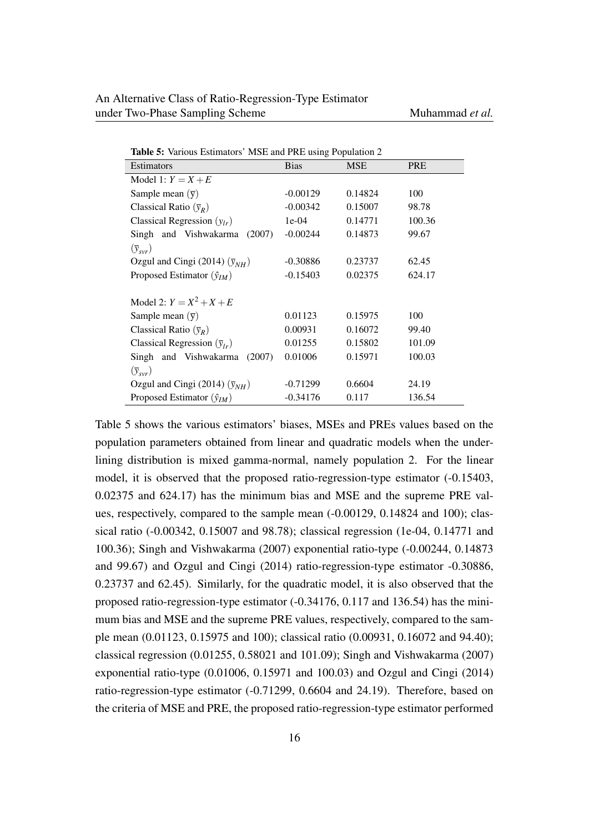| <b>Table 5:</b> Various Estimators' MSE and PRE using Population 2 |             |            |            |  |  |
|--------------------------------------------------------------------|-------------|------------|------------|--|--|
| Estimators                                                         | <b>Bias</b> | <b>MSE</b> | <b>PRE</b> |  |  |
| Model 1: $Y = X + E$                                               |             |            |            |  |  |
| Sample mean $(\bar{y})$                                            | $-0.00129$  | 0.14824    | 100        |  |  |
| Classical Ratio $(\bar{y}_R)$                                      | $-0.00342$  | 0.15007    | 98.78      |  |  |
| Classical Regression $(y_{lr})$                                    | $1e-04$     | 0.14771    | 100.36     |  |  |
| Singh and Vishwakarma<br>(2007)                                    | $-0.00244$  | 0.14873    | 99.67      |  |  |
| $(\bar{y}_{svr})$                                                  |             |            |            |  |  |
| Ozgul and Cingi (2014) $(\bar{y}_{NH})$                            | $-0.30886$  | 0.23737    | 62.45      |  |  |
| Proposed Estimator $(\hat{y}_{IM})$                                | $-0.15403$  | 0.02375    | 624.17     |  |  |
|                                                                    |             |            |            |  |  |
| Model 2: $Y = X^2 + X + E$                                         |             |            |            |  |  |
| Sample mean $(\bar{y})$                                            | 0.01123     | 0.15975    | 100        |  |  |
| Classical Ratio $(\bar{y}_R)$                                      | 0.00931     | 0.16072    | 99.40      |  |  |
| Classical Regression $(\bar{y}_{lr})$                              | 0.01255     | 0.15802    | 101.09     |  |  |
| Singh and Vishwakarma<br>(2007)                                    | 0.01006     | 0.15971    | 100.03     |  |  |
| $(\bar{y}_{svr})$                                                  |             |            |            |  |  |
| Ozgul and Cingi (2014) $(\bar{y}_{NH})$                            | $-0.71299$  | 0.6604     | 24.19      |  |  |
| Proposed Estimator $(\hat{y}_{IM})$                                | $-0.34176$  | 0.117      | 136.54     |  |  |

Table 5: Various Estimators' MSE and PRE using Population 2

Table 5 shows the various estimators' biases, MSEs and PREs values based on the population parameters obtained from linear and quadratic models when the underlining distribution is mixed gamma-normal, namely population 2. For the linear model, it is observed that the proposed ratio-regression-type estimator (-0.15403, 0.02375 and 624.17) has the minimum bias and MSE and the supreme PRE values, respectively, compared to the sample mean (-0.00129, 0.14824 and 100); classical ratio (-0.00342, 0.15007 and 98.78); classical regression (1e-04, 0.14771 and 100.36); Singh and Vishwakarma (2007) exponential ratio-type (-0.00244, 0.14873 and 99.67) and Ozgul and Cingi (2014) ratio-regression-type estimator -0.30886, 0.23737 and 62.45). Similarly, for the quadratic model, it is also observed that the proposed ratio-regression-type estimator (-0.34176, 0.117 and 136.54) has the minimum bias and MSE and the supreme PRE values, respectively, compared to the sample mean (0.01123, 0.15975 and 100); classical ratio (0.00931, 0.16072 and 94.40); classical regression (0.01255, 0.58021 and 101.09); Singh and Vishwakarma (2007) exponential ratio-type (0.01006, 0.15971 and 100.03) and Ozgul and Cingi (2014) ratio-regression-type estimator (-0.71299, 0.6604 and 24.19). Therefore, based on the criteria of MSE and PRE, the proposed ratio-regression-type estimator performed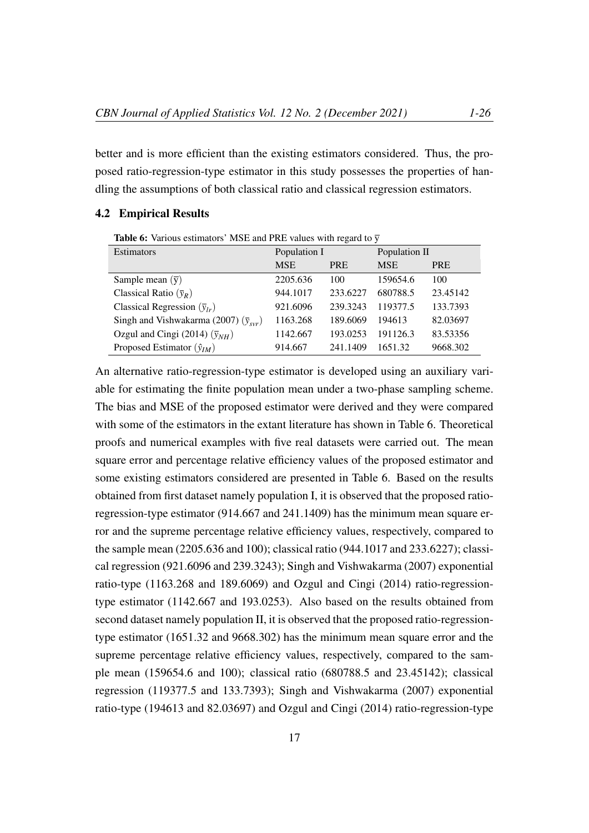better and is more efficient than the existing estimators considered. Thus, the proposed ratio-regression-type estimator in this study possesses the properties of handling the assumptions of both classical ratio and classical regression estimators.

# 4.2 Empirical Results

**Table 6:** Various estimators' MSE and PRE values with regard to  $\overline{y}$ 

| <b>Estimators</b>                                     | Population I |            | Population II |            |
|-------------------------------------------------------|--------------|------------|---------------|------------|
|                                                       | <b>MSE</b>   | <b>PRE</b> | <b>MSE</b>    | <b>PRE</b> |
| Sample mean $(\bar{y})$                               | 2205.636     | 100        | 159654.6      | 100        |
| Classical Ratio $(\bar{y}_R)$                         | 944.1017     | 233.6227   | 680788.5      | 23.45142   |
| Classical Regression $(\bar{y}_{lr})$                 | 921.6096     | 239.3243   | 119377.5      | 133.7393   |
| Singh and Vishwakarma (2007) $(\bar{y}_{\text{vvr}})$ | 1163.268     | 189.6069   | 194613        | 82.03697   |
| Ozgul and Cingi (2014) $(\bar{y}_{NH})$               | 1142.667     | 193.0253   | 191126.3      | 83.53356   |
| Proposed Estimator $(\hat{y}_{IM})$                   | 914.667      | 241.1409   | 1651.32       | 9668.302   |

An alternative ratio-regression-type estimator is developed using an auxiliary variable for estimating the finite population mean under a two-phase sampling scheme. The bias and MSE of the proposed estimator were derived and they were compared with some of the estimators in the extant literature has shown in Table 6. Theoretical proofs and numerical examples with five real datasets were carried out. The mean square error and percentage relative efficiency values of the proposed estimator and some existing estimators considered are presented in Table 6. Based on the results obtained from first dataset namely population I, it is observed that the proposed ratioregression-type estimator (914.667 and 241.1409) has the minimum mean square error and the supreme percentage relative efficiency values, respectively, compared to the sample mean (2205.636 and 100); classical ratio (944.1017 and 233.6227); classical regression (921.6096 and 239.3243); Singh and Vishwakarma (2007) exponential ratio-type (1163.268 and 189.6069) and Ozgul and Cingi (2014) ratio-regressiontype estimator (1142.667 and 193.0253). Also based on the results obtained from second dataset namely population II, it is observed that the proposed ratio-regressiontype estimator (1651.32 and 9668.302) has the minimum mean square error and the supreme percentage relative efficiency values, respectively, compared to the sample mean (159654.6 and 100); classical ratio (680788.5 and 23.45142); classical regression (119377.5 and 133.7393); Singh and Vishwakarma (2007) exponential ratio-type (194613 and 82.03697) and Ozgul and Cingi (2014) ratio-regression-type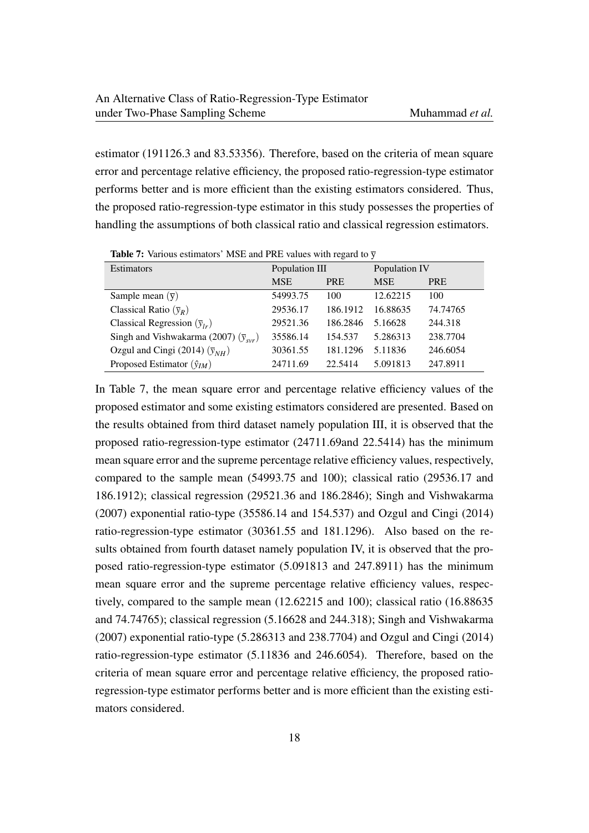estimator (191126.3 and 83.53356). Therefore, based on the criteria of mean square error and percentage relative efficiency, the proposed ratio-regression-type estimator performs better and is more efficient than the existing estimators considered. Thus, the proposed ratio-regression-type estimator in this study possesses the properties of handling the assumptions of both classical ratio and classical regression estimators.

| <b>Estimators</b>                              | Population III |            | Population IV |            |
|------------------------------------------------|----------------|------------|---------------|------------|
|                                                | <b>MSE</b>     | <b>PRE</b> | <b>MSE</b>    | <b>PRE</b> |
| Sample mean $(\bar{y})$                        | 54993.75       | 100        | 12.62215      | 100        |
| Classical Ratio $(\bar{y}_R)$                  | 29536.17       | 186.1912   | 16.88635      | 74.74765   |
| Classical Regression $(\bar{y}_{lr})$          | 29521.36       | 186.2846   | 5.16628       | 244.318    |
| Singh and Vishwakarma (2007) $(\bar{y}_{svr})$ | 35586.14       | 154.537    | 5.286313      | 238.7704   |
| Ozgul and Cingi (2014) $(\bar{y}_{NH})$        | 30361.55       | 181.1296   | 5.11836       | 246.6054   |
| Proposed Estimator $(\hat{y}_{IM})$            | 24711.69       | 22.5414    | 5.091813      | 247.8911   |

**Table 7:** Various estimators' MSE and PRE values with regard to  $\overline{v}$ 

In Table 7, the mean square error and percentage relative efficiency values of the proposed estimator and some existing estimators considered are presented. Based on the results obtained from third dataset namely population III, it is observed that the proposed ratio-regression-type estimator (24711.69and 22.5414) has the minimum mean square error and the supreme percentage relative efficiency values, respectively, compared to the sample mean (54993.75 and 100); classical ratio (29536.17 and 186.1912); classical regression (29521.36 and 186.2846); Singh and Vishwakarma (2007) exponential ratio-type (35586.14 and 154.537) and Ozgul and Cingi (2014) ratio-regression-type estimator (30361.55 and 181.1296). Also based on the results obtained from fourth dataset namely population IV, it is observed that the proposed ratio-regression-type estimator (5.091813 and 247.8911) has the minimum mean square error and the supreme percentage relative efficiency values, respectively, compared to the sample mean (12.62215 and 100); classical ratio (16.88635 and 74.74765); classical regression (5.16628 and 244.318); Singh and Vishwakarma (2007) exponential ratio-type (5.286313 and 238.7704) and Ozgul and Cingi (2014) ratio-regression-type estimator (5.11836 and 246.6054). Therefore, based on the criteria of mean square error and percentage relative efficiency, the proposed ratioregression-type estimator performs better and is more efficient than the existing estimators considered.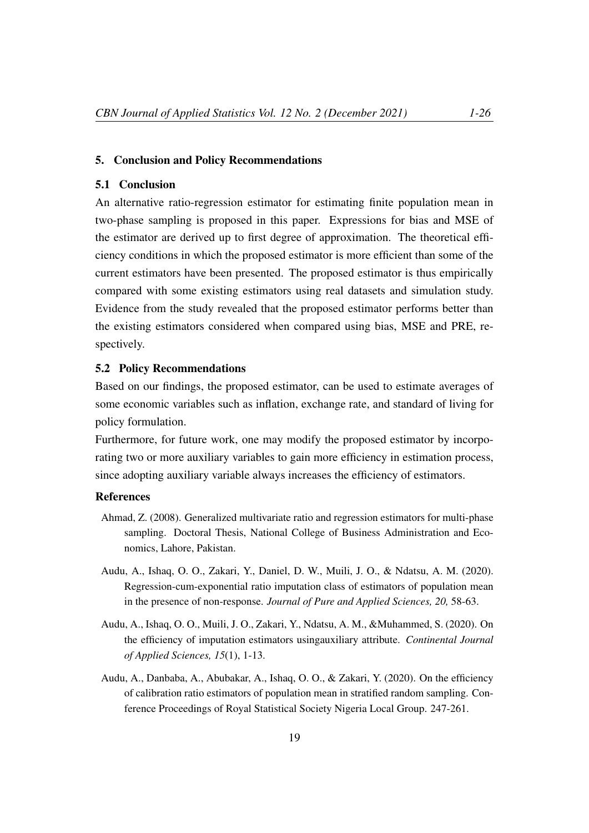### 5. Conclusion and Policy Recommendations

# 5.1 Conclusion

An alternative ratio-regression estimator for estimating finite population mean in two-phase sampling is proposed in this paper. Expressions for bias and MSE of the estimator are derived up to first degree of approximation. The theoretical efficiency conditions in which the proposed estimator is more efficient than some of the current estimators have been presented. The proposed estimator is thus empirically compared with some existing estimators using real datasets and simulation study. Evidence from the study revealed that the proposed estimator performs better than the existing estimators considered when compared using bias, MSE and PRE, respectively.

### 5.2 Policy Recommendations

Based on our findings, the proposed estimator, can be used to estimate averages of some economic variables such as inflation, exchange rate, and standard of living for policy formulation.

Furthermore, for future work, one may modify the proposed estimator by incorporating two or more auxiliary variables to gain more efficiency in estimation process, since adopting auxiliary variable always increases the efficiency of estimators.

### References

- Ahmad, Z. (2008). Generalized multivariate ratio and regression estimators for multi-phase sampling. Doctoral Thesis, National College of Business Administration and Economics, Lahore, Pakistan.
- Audu, A., Ishaq, O. O., Zakari, Y., Daniel, D. W., Muili, J. O., & Ndatsu, A. M. (2020). Regression-cum-exponential ratio imputation class of estimators of population mean in the presence of non-response. *Journal of Pure and Applied Sciences, 20,* 58-63.
- Audu, A., Ishaq, O. O., Muili, J. O., Zakari, Y., Ndatsu, A. M., &Muhammed, S. (2020). On the efficiency of imputation estimators usingauxiliary attribute. *Continental Journal of Applied Sciences, 15*(1), 1-13.
- Audu, A., Danbaba, A., Abubakar, A., Ishaq, O. O., & Zakari, Y. (2020). On the efficiency of calibration ratio estimators of population mean in stratified random sampling. Conference Proceedings of Royal Statistical Society Nigeria Local Group. 247-261.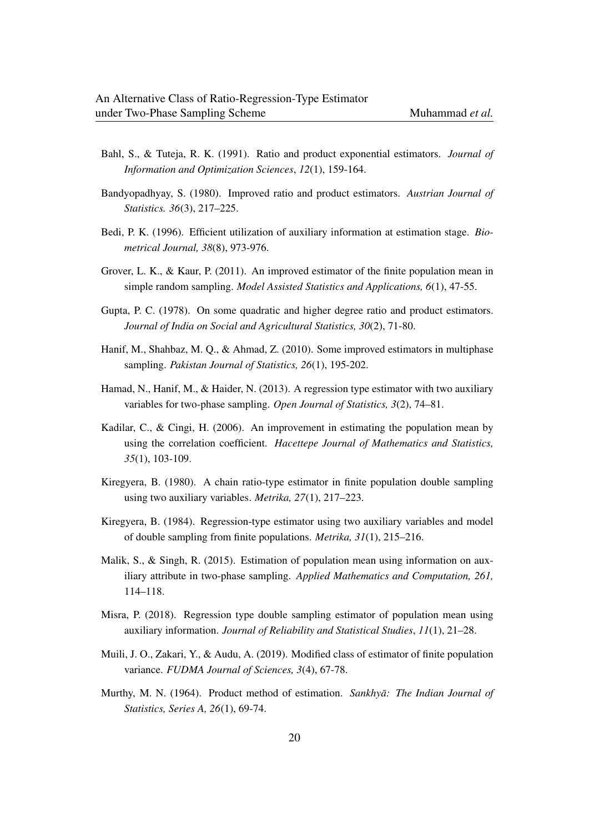- Bahl, S., & Tuteja, R. K. (1991). Ratio and product exponential estimators. *Journal of Information and Optimization Sciences*, *12*(1), 159-164.
- Bandyopadhyay, S. (1980). Improved ratio and product estimators. *Austrian Journal of Statistics. 36*(3), 217–225.
- Bedi, P. K. (1996). Efficient utilization of auxiliary information at estimation stage. *Biometrical Journal, 38*(8), 973-976.
- Grover, L. K., & Kaur, P. (2011). An improved estimator of the finite population mean in simple random sampling. *Model Assisted Statistics and Applications, 6*(1), 47-55.
- Gupta, P. C. (1978). On some quadratic and higher degree ratio and product estimators. *Journal of India on Social and Agricultural Statistics, 30*(2), 71-80.
- Hanif, M., Shahbaz, M. Q., & Ahmad, Z. (2010). Some improved estimators in multiphase sampling. *Pakistan Journal of Statistics, 26*(1), 195-202.
- Hamad, N., Hanif, M., & Haider, N. (2013). A regression type estimator with two auxiliary variables for two-phase sampling. *Open Journal of Statistics, 3*(2), 74–81.
- Kadilar, C., & Cingi, H. (2006). An improvement in estimating the population mean by using the correlation coefficient. *Hacettepe Journal of Mathematics and Statistics, 35*(1), 103-109.
- Kiregyera, B. (1980). A chain ratio-type estimator in finite population double sampling using two auxiliary variables. *Metrika, 27*(1), 217–223.
- Kiregyera, B. (1984). Regression-type estimator using two auxiliary variables and model of double sampling from finite populations. *Metrika, 31*(1), 215–216.
- Malik, S., & Singh, R. (2015). Estimation of population mean using information on auxiliary attribute in two-phase sampling. *Applied Mathematics and Computation, 261,* 114–118.
- Misra, P. (2018). Regression type double sampling estimator of population mean using auxiliary information. *Journal of Reliability and Statistical Studies*, *11*(1), 21–28.
- Muili, J. O., Zakari, Y., & Audu, A. (2019). Modified class of estimator of finite population variance. *FUDMA Journal of Sciences, 3*(4), 67-78.
- Murthy, M. N. (1964). Product method of estimation. *Sankhyā: The Indian Journal of Statistics, Series A, 26*(1), 69-74.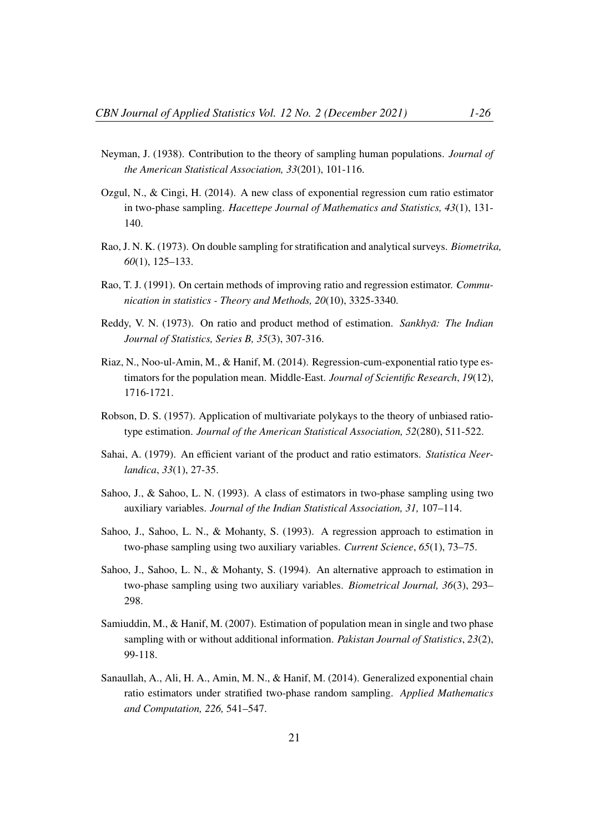- Neyman, J. (1938). Contribution to the theory of sampling human populations. *Journal of the American Statistical Association, 33*(201), 101-116.
- Ozgul, N., & Cingi, H. (2014). A new class of exponential regression cum ratio estimator in two-phase sampling. *Hacettepe Journal of Mathematics and Statistics, 43*(1), 131- 140.
- Rao, J. N. K. (1973). On double sampling for stratification and analytical surveys. *Biometrika, 60*(1), 125–133.
- Rao, T. J. (1991). On certain methods of improving ratio and regression estimator. *Communication in statistics - Theory and Methods, 20*(10), 3325-3340.
- Reddy, V. N. (1973). On ratio and product method of estimation. *Sankhya: The Indian Journal of Statistics, Series B, 35*(3), 307-316.
- Riaz, N., Noo-ul-Amin, M., & Hanif, M. (2014). Regression-cum-exponential ratio type estimators for the population mean. Middle-East. *Journal of Scientific Research*, *19*(12), 1716-1721.
- Robson, D. S. (1957). Application of multivariate polykays to the theory of unbiased ratiotype estimation. *Journal of the American Statistical Association, 52*(280), 511-522.
- Sahai, A. (1979). An efficient variant of the product and ratio estimators. *Statistica Neerlandica*, *33*(1), 27-35.
- Sahoo, J., & Sahoo, L. N. (1993). A class of estimators in two-phase sampling using two auxiliary variables. *Journal of the Indian Statistical Association, 31,* 107–114.
- Sahoo, J., Sahoo, L. N., & Mohanty, S. (1993). A regression approach to estimation in two-phase sampling using two auxiliary variables. *Current Science*, *65*(1), 73–75.
- Sahoo, J., Sahoo, L. N., & Mohanty, S. (1994). An alternative approach to estimation in two-phase sampling using two auxiliary variables. *Biometrical Journal, 36*(3), 293– 298.
- Samiuddin, M., & Hanif, M. (2007). Estimation of population mean in single and two phase sampling with or without additional information. *Pakistan Journal of Statistics*, *23*(2), 99-118.
- Sanaullah, A., Ali, H. A., Amin, M. N., & Hanif, M. (2014). Generalized exponential chain ratio estimators under stratified two-phase random sampling. *Applied Mathematics and Computation, 226,* 541–547.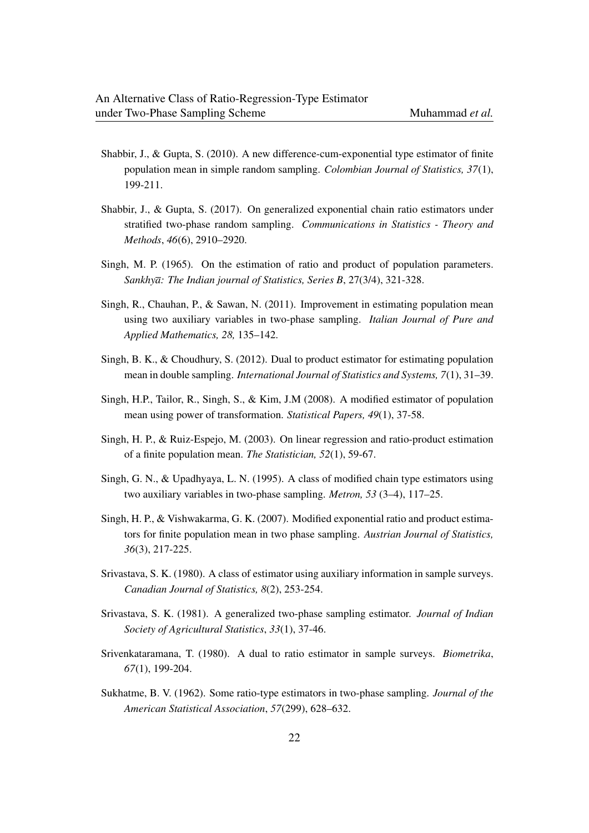- Shabbir, J., & Gupta, S. (2010). A new difference-cum-exponential type estimator of finite population mean in simple random sampling. *Colombian Journal of Statistics, 37*(1), 199-211.
- Shabbir, J., & Gupta, S. (2017). On generalized exponential chain ratio estimators under stratified two-phase random sampling. *Communications in Statistics - Theory and Methods*, *46*(6), 2910–2920.
- Singh, M. P. (1965). On the estimation of ratio and product of population parameters. *Sankhya: The Indian journal of Statistics, Series B*, 27(3/4), 321-328.
- Singh, R., Chauhan, P., & Sawan, N. (2011). Improvement in estimating population mean using two auxiliary variables in two-phase sampling. *Italian Journal of Pure and Applied Mathematics, 28,* 135–142.
- Singh, B. K., & Choudhury, S. (2012). Dual to product estimator for estimating population mean in double sampling. *International Journal of Statistics and Systems, 7*(1), 31–39.
- Singh, H.P., Tailor, R., Singh, S., & Kim, J.M (2008). A modified estimator of population mean using power of transformation. *Statistical Papers, 49*(1), 37-58.
- Singh, H. P., & Ruiz-Espejo, M. (2003). On linear regression and ratio-product estimation of a finite population mean. *The Statistician, 52*(1), 59-67.
- Singh, G. N., & Upadhyaya, L. N. (1995). A class of modified chain type estimators using two auxiliary variables in two-phase sampling. *Metron, 53* (3–4), 117–25.
- Singh, H. P., & Vishwakarma, G. K. (2007). Modified exponential ratio and product estimators for finite population mean in two phase sampling. *Austrian Journal of Statistics, 36*(3), 217-225.
- Srivastava, S. K. (1980). A class of estimator using auxiliary information in sample surveys. *Canadian Journal of Statistics, 8*(2), 253-254.
- Srivastava, S. K. (1981). A generalized two-phase sampling estimator. *Journal of Indian Society of Agricultural Statistics*, *33*(1), 37-46.
- Srivenkataramana, T. (1980). A dual to ratio estimator in sample surveys. *Biometrika*, *67*(1), 199-204.
- Sukhatme, B. V. (1962). Some ratio-type estimators in two-phase sampling. *Journal of the American Statistical Association*, *57*(299), 628–632.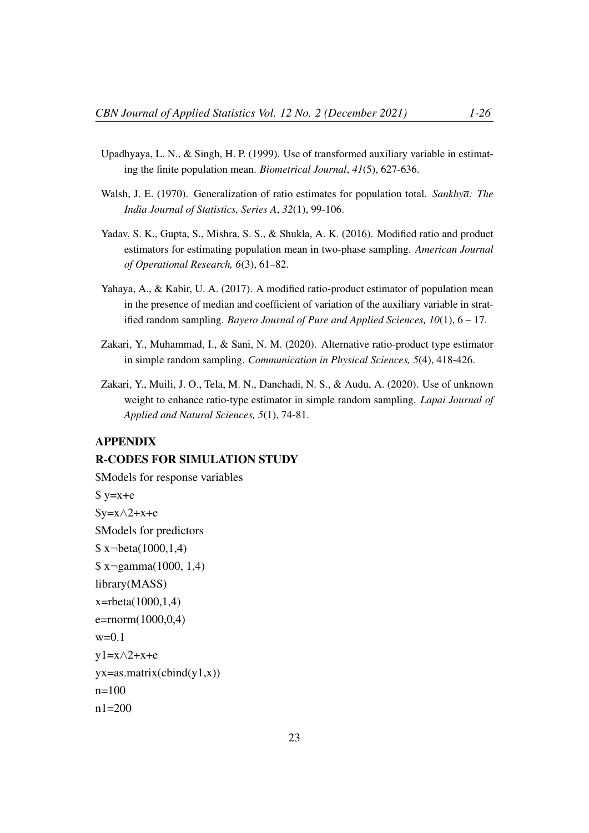- Upadhyaya, L. N., & Singh, H. P. (1999). Use of transformed auxiliary variable in estimating the finite population mean. *Biometrical Journal*, *41*(5), 627-636.
- Walsh, J. E. (1970). Generalization of ratio estimates for population total. *Sankhya: The India Journal of Statistics, Series A*, *32*(1), 99-106.
- Yadav, S. K., Gupta, S., Mishra, S. S., & Shukla, A. K. (2016). Modified ratio and product estimators for estimating population mean in two-phase sampling. *American Journal of Operational Research, 6*(3), 61–82.
- Yahaya, A., & Kabir, U. A. (2017). A modified ratio-product estimator of population mean in the presence of median and coefficient of variation of the auxiliary variable in stratified random sampling. *Bayero Journal of Pure and Applied Sciences, 10*(1), 6 – 17.
- Zakari, Y., Muhammad, I., & Sani, N. M. (2020). Alternative ratio-product type estimator in simple random sampling. *Communication in Physical Sciences, 5*(4), 418-426.
- Zakari, Y., Muili, J. O., Tela, M. N., Danchadi, N. S., & Audu, A. (2020). Use of unknown weight to enhance ratio-type estimator in simple random sampling. *Lapai Journal of Applied and Natural Sciences, 5*(1), 74-81.

# APPENDIX

### R-CODES FOR SIMULATION STUDY

```
$Models for response variables
s y=x+e
y=x\wedge 2+x+e$Models for predictors
\frac{\text{S x} - \text{beta}(1000, 1.4)}{2}\frac{\sqrt{2}}{3} x - gamma(1000, 1,4)
library(MASS)
x=rbeta(1000,1,4)
e=rnorm(1000,0,4)
w=0.1v1=x\wedge2+x+eyx = as.matrix(cbind(y1,x))n=100n1 = 200
```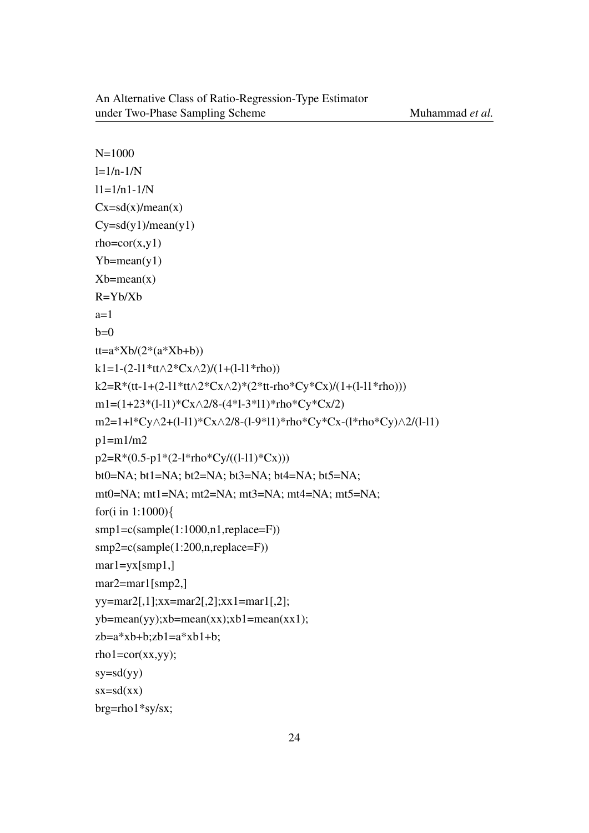```
N=1000l=1/n-1/N11=1/n1-1/NCx=sd(x)/mean(x)Cy=sd(y1)/mean(y1)rho = cor(x,y1)Yb=mean(y1)Xb=mean(x)R=Yb/Xb
a=1b=0tt=a*Xb/(2*(a*Xb+b))k1=1-(2-l1*tt\wedge2*Cx\wedge2)/(1+(l-l1*rho))
k2=R*(tt-1+(2-l1*tt∧2*Cx∧2)*(2*tt-rho*Cy*Cx)/(1+(l-l1*rho)))
m1=(1+23*(l-l1)*Cx∧2/8-(4*l-3*l1)*rho*Cy*Cx/2)
m2=1+l*Cy∧2+(l-l1)*Cx∧2/8-(l-9*l1)*rho*Cy*Cx-(l*rho*Cy)∧2/(l-l1)
p1=m1/m2p2=R*(0.5-p1*(2-1*rho*Cy/((1-11)*Cx))bt0=NA; bt1=NA; bt2=NA; bt3=NA; bt4=NA; bt5=NA;
mt0=NA; mt1=NA; mt2=NA; mt3=NA; mt4=NA; mt5=NA;
for(i in 1:1000){
smp1=c(sample(1:1000,n1,replace=F))
smp2=c(sample(1:200,n,replace=F))
mar1=yx[smp1,]
mar2=mar1[smp2,]
yy=mar2[,1];xx=mar2[,2];xx1=mar1[,2];
yb=mean(yy);xb=mean(xx);xb1=mean(xx1);zb=a*xb+b;zb1=a*xb1+b;rho1 = cor(xx,yy);
sy=sd(yy)sx=sd(xx)brg=rho1*sy/sx;
```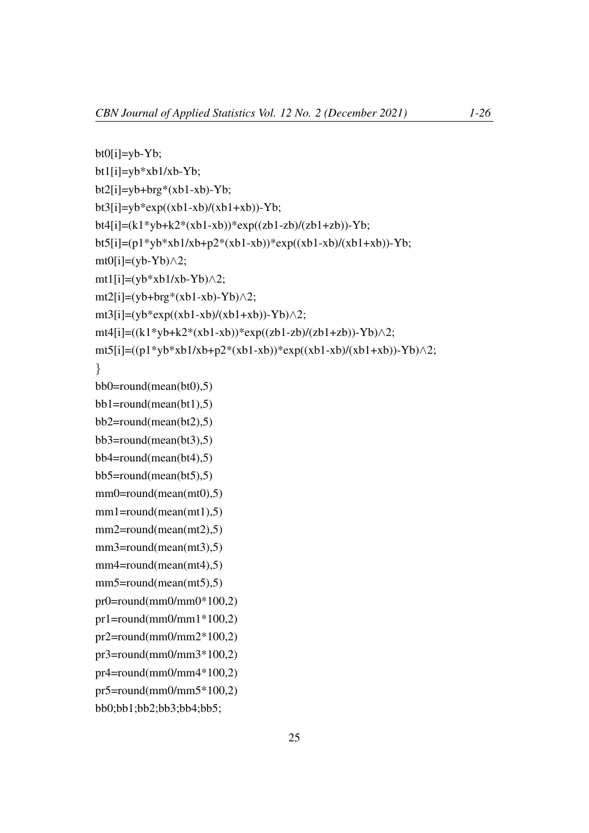```
bt0[i]=yb-Yb;bt1[i]=yb*xb1/xb-Yb;
bt2[i]=yb+brg*(xb1-xb)-Yb;bt3[i]=yb*exp((xb1-xb)/(xb1+xb))-Yb;
bt4[i]=(k1*yb+k2*(xb1-xb))*exp((zb1-zb)/(zb1+zb))-Yb;
bt5[i]=(p1*yb*xb1/xb+p2*(xb1-xb))*exp((xb1-xb)/(xb1+xb))-Yb;
mt0[i]=(yb-Yb)\wedge2;
mt1[i]=(yb*xb1/xb-Yb)\wedge2;
mt2[i]=(yb+brg*(xb1-xb)-Yb)\wedge2;
mt3[i]=(yb*exp((xb1-xb)/(xb1+xb))-Yb)\land2;
mt4[i]=((k1*yb+k2*(xb1-xb))*exp((zb1-zb)/(zb1+zb))-Yb)\wedge2;
mt5[i]=((p1*yb*xb1/xb+p2*(xb1-xb))*exp((xb1-xb)/(xb1+xb))-Yb)\land2;
}
bb0 = round(mean(bt0), 5)bb1=round(mean(bt1),5)
bb2=round(mean(bt2),5)
bb3=round(mean(bt3),5)
bb4=round(mean(bt4),5)
bb5=round(mean(bt5),5)
mm0=round(mean(mt0),5)mm1=round(mean(mt1),5)
mm2=round(mean(mt2),5)
mm3=round(mean(mt3),5)mm4=round(mean(mt4),5)
mm5=round(mean(mt5),5)pr0=round(mm0/mm0*100,2)pr1=round(mm0/mm1*100,2)pr2=round(mm0/mm2*100,2)pr3=round(mm0/mm3*100.2)pr4=round(mm0/mm4*100,2)
pr5=round(mm0/mm5*100,2)bb0;bb1;bb2;bb3;bb4;bb5;
```